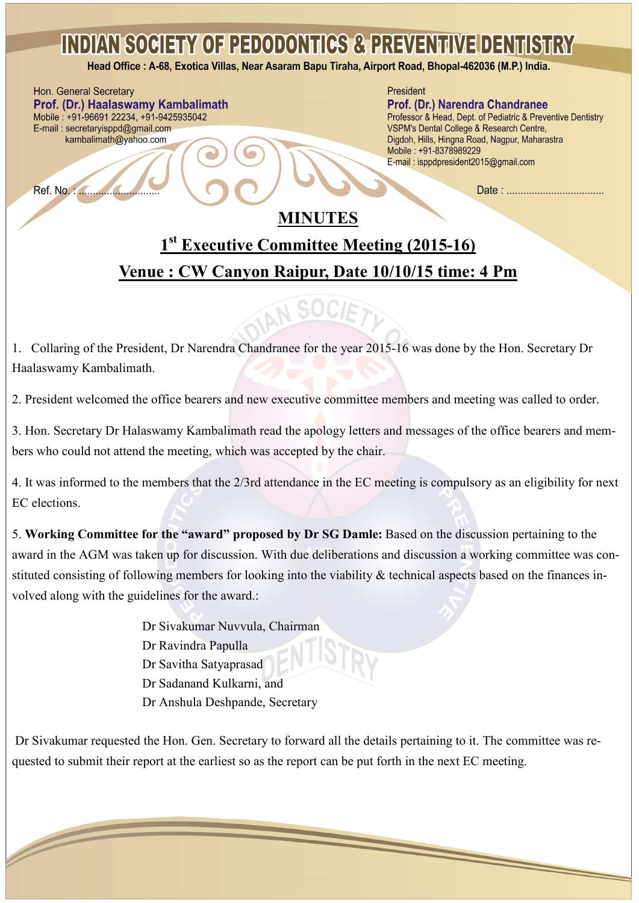## **INDIAN SOCIETY OF PEDODONTICS & PREVENTIVE DENTISTRY**

Head Office: A-68, Exotica Villas, Near Asaram Bapu Tiraha, Airport Road, Bhopal-462036 (M.P.) India.

Hon. General Secretary Prof. (Dr.) Haalaswamy Kambalimath Mobile: +91-96691 22234, +91-9425935042 E-mail: secretaryisppd@gmail.com kambalimath@yahoo.com

 $\overline{\phantom{a}}$ 

President

#### Prof. (Dr.) Narendra Chandranee

Professor & Head, Dept. of Pediatric & Preventive Dentistry VSPM's Dental College & Research Centre, Digdoh, Hills, Hingna Road, Nagpur, Maharastra Mobile: +91-8378989229 E-mail: isppdpresident2015@gmail.com

Date: .................................

### **MINUTES**

### **1 st Executive Committee Meeting (2015-16) Venue : CW Canyon Raipur, Date 10/10/15 time: 4 Pm**

# AN SOCIET

1. Collaring of the President, Dr Narendra Chandranee for the year 2015-16 was done by the Hon. Secretary Dr Haalaswamy Kambalimath.

2. President welcomed the office bearers and new executive committee members and meeting was called to order.

3. Hon. Secretary Dr Halaswamy Kambalimath read the apology letters and messages of the office bearers and members who could not attend the meeting, which was accepted by the chair.

4. It was informed to the members that the 2/3rd attendance in the EC meeting is compulsory as an eligibility for next EC elections.

5. **Working Committee for the "award" proposed by Dr SG Damle:** Based on the discussion pertaining to the award in the AGM was taken up for discussion. With due deliberations and discussion a working committee was constituted consisting of following members for looking into the viability & technical aspects based on the finances involved along with the guidelines for the award.:

> Dr Sivakumar Nuvvula, Chairman Dr Ravindra Papulla Dr Savitha Satyaprasad Dr Sadanand Kulkarni, and Dr Anshula Deshpande, Secretary

Dr Sivakumar requested the Hon. Gen. Secretary to forward all the details pertaining to it. The committee was requested to submit their report at the earliest so as the report can be put forth in the next EC meeting.

 $\overline{\phantom{0}}$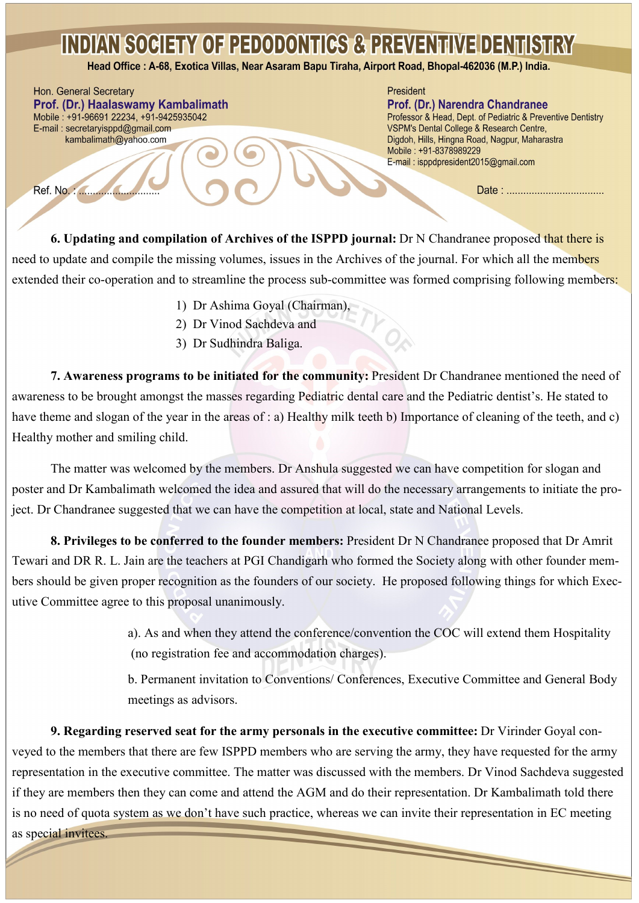### **INDIAN SOCIETY OF PEDODONTICS & PREVENTIVE DENTISTRY**

Head Office: A-68, Exotica Villas, Near Asaram Bapu Tiraha, Airport Road, Bhopal-462036 (M.P.) India.

Hon. General Secretary Prof. (Dr.) Haalaswamy Kambalimath Mobile: +91-96691 22234, +91-9425935042 E-mail: secretaryisppd@gmail.com kambalimath@yahoo.com

#### President

Prof. (Dr.) Narendra Chandranee Professor & Head, Dept. of Pediatric & Preventive Dentistry VSPM's Dental College & Research Centre, Digdoh, Hills, Hingna Road, Nagpur, Maharastra Mobile: +91-8378989229 E-mail: isppdpresident2015@gmail.com

**6. Updating and compilation of Archives of the ISPPD journal:** Dr N Chandranee proposed that there is need to update and compile the missing volumes, issues in the Archives of the journal. For which all the members extended their co-operation and to streamline the process sub-committee was formed comprising following members:

- 1) Dr Ashima Goyal (Chairman),
- 2) Dr Vinod Sachdeva and
- 3) Dr Sudhindra Baliga.

**7. Awareness programs to be initiated for the community:** President Dr Chandranee mentioned the need of awareness to be brought amongst the masses regarding Pediatric dental care and the Pediatric dentist's. He stated to have theme and slogan of the year in the areas of : a) Healthy milk teeth b) Importance of cleaning of the teeth, and c) Healthy mother and smiling child.

The matter was welcomed by the members. Dr Anshula suggested we can have competition for slogan and poster and Dr Kambalimath welcomed the idea and assured that will do the necessary arrangements to initiate the project. Dr Chandranee suggested that we can have the competition at local, state and National Levels.

**8. Privileges to be conferred to the founder members:** President Dr N Chandranee proposed that Dr Amrit Tewari and DR R. L. Jain are the teachers at PGI Chandigarh who formed the Society along with other founder members should be given proper recognition as the founders of our society. He proposed following things for which Executive Committee agree to this proposal unanimously.

> a). As and when they attend the conference/convention the COC will extend them Hospitality (no registration fee and accommodation charges).

b. Permanent invitation to Conventions/ Conferences, Executive Committee and General Body meetings as advisors.

**9. Regarding reserved seat for the army personals in the executive committee:** Dr Virinder Goyal conveyed to the members that there are few ISPPD members who are serving the army, they have requested for the army representation in the executive committee. The matter was discussed with the members. Dr Vinod Sachdeva suggested if they are members then they can come and attend the AGM and do their representation. Dr Kambalimath told there is no need of quota system as we don't have such practice, whereas we can invite their representation in EC meeting

as special invitees.